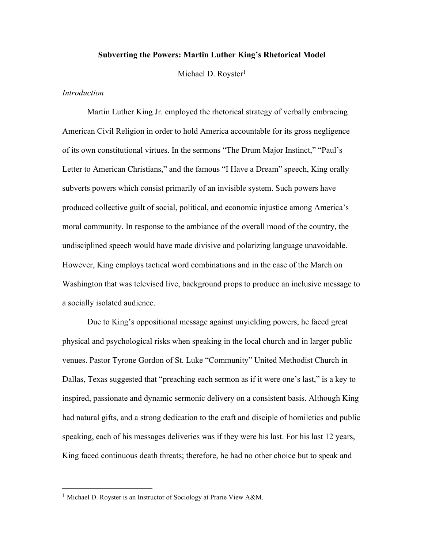## **Subverting the Powers: Martin Luther King's Rhetorical Model**

Michael D. Royster<sup>1</sup>

### *Introduction*

Martin Luther King Jr. employed the rhetorical strategy of verbally embracing American Civil Religion in order to hold America accountable for its gross negligence of its own constitutional virtues. In the sermons "The Drum Major Instinct," "Paul's Letter to American Christians," and the famous "I Have a Dream" speech, King orally subverts powers which consist primarily of an invisible system. Such powers have produced collective guilt of social, political, and economic injustice among America's moral community. In response to the ambiance of the overall mood of the country, the undisciplined speech would have made divisive and polarizing language unavoidable. However, King employs tactical word combinations and in the case of the March on Washington that was televised live, background props to produce an inclusive message to a socially isolated audience.

Due to King's oppositional message against unyielding powers, he faced great physical and psychological risks when speaking in the local church and in larger public venues. Pastor Tyrone Gordon of St. Luke "Community" United Methodist Church in Dallas, Texas suggested that "preaching each sermon as if it were one's last," is a key to inspired, passionate and dynamic sermonic delivery on a consistent basis. Although King had natural gifts, and a strong dedication to the craft and disciple of homiletics and public speaking, each of his messages deliveries was if they were his last. For his last 12 years, King faced continuous death threats; therefore, he had no other choice but to speak and

<sup>&</sup>lt;sup>1</sup> Michael D. Royster is an Instructor of Sociology at Prarie View A&M.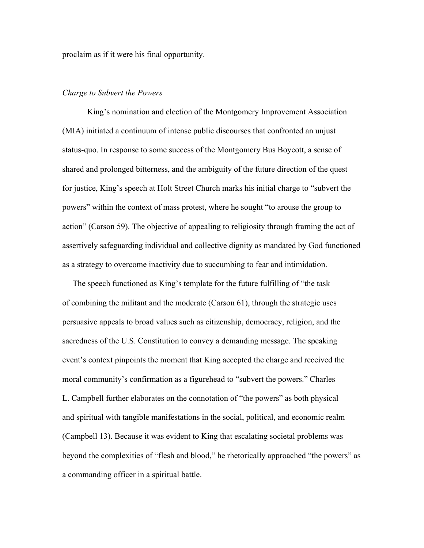proclaim as if it were his final opportunity.

# *Charge to Subvert the Powers*

King's nomination and election of the Montgomery Improvement Association (MIA) initiated a continuum of intense public discourses that confronted an unjust status-quo. In response to some success of the Montgomery Bus Boycott, a sense of shared and prolonged bitterness, and the ambiguity of the future direction of the quest for justice, King's speech at Holt Street Church marks his initial charge to "subvert the powers" within the context of mass protest, where he sought "to arouse the group to action" (Carson 59). The objective of appealing to religiosity through framing the act of assertively safeguarding individual and collective dignity as mandated by God functioned as a strategy to overcome inactivity due to succumbing to fear and intimidation.

The speech functioned as King's template for the future fulfilling of "the task of combining the militant and the moderate (Carson 61), through the strategic uses persuasive appeals to broad values such as citizenship, democracy, religion, and the sacredness of the U.S. Constitution to convey a demanding message. The speaking event's context pinpoints the moment that King accepted the charge and received the moral community's confirmation as a figurehead to "subvert the powers." Charles L. Campbell further elaborates on the connotation of "the powers" as both physical and spiritual with tangible manifestations in the social, political, and economic realm (Campbell 13). Because it was evident to King that escalating societal problems was beyond the complexities of "flesh and blood," he rhetorically approached "the powers" as a commanding officer in a spiritual battle.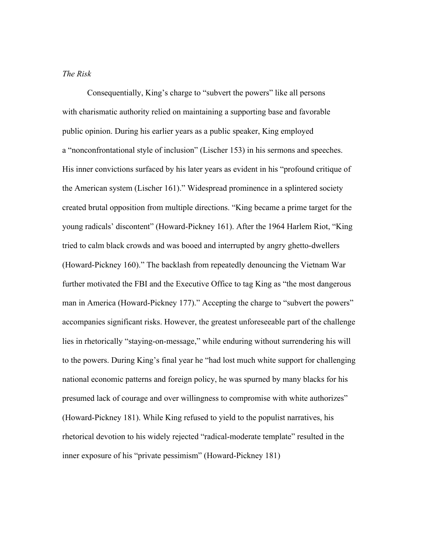### *The Risk*

Consequentially, King's charge to "subvert the powers" like all persons with charismatic authority relied on maintaining a supporting base and favorable public opinion. During his earlier years as a public speaker, King employed a "nonconfrontational style of inclusion" (Lischer 153) in his sermons and speeches. His inner convictions surfaced by his later years as evident in his "profound critique of the American system (Lischer 161)." Widespread prominence in a splintered society created brutal opposition from multiple directions. "King became a prime target for the young radicals' discontent" (Howard-Pickney 161). After the 1964 Harlem Riot, "King tried to calm black crowds and was booed and interrupted by angry ghetto-dwellers (Howard-Pickney 160)." The backlash from repeatedly denouncing the Vietnam War further motivated the FBI and the Executive Office to tag King as "the most dangerous man in America (Howard-Pickney 177)." Accepting the charge to "subvert the powers" accompanies significant risks. However, the greatest unforeseeable part of the challenge lies in rhetorically "staying-on-message," while enduring without surrendering his will to the powers. During King's final year he "had lost much white support for challenging national economic patterns and foreign policy, he was spurned by many blacks for his presumed lack of courage and over willingness to compromise with white authorizes" (Howard-Pickney 181). While King refused to yield to the populist narratives, his rhetorical devotion to his widely rejected "radical-moderate template" resulted in the inner exposure of his "private pessimism" (Howard-Pickney 181)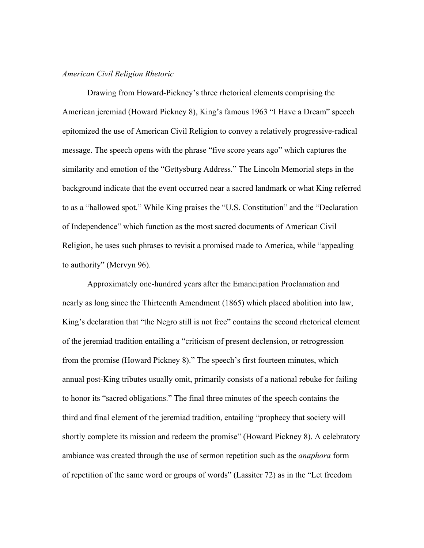### *American Civil Religion Rhetoric*

Drawing from Howard-Pickney's three rhetorical elements comprising the American jeremiad (Howard Pickney 8), King's famous 1963 "I Have a Dream" speech epitomized the use of American Civil Religion to convey a relatively progressive-radical message. The speech opens with the phrase "five score years ago" which captures the similarity and emotion of the "Gettysburg Address." The Lincoln Memorial steps in the background indicate that the event occurred near a sacred landmark or what King referred to as a "hallowed spot." While King praises the "U.S. Constitution" and the "Declaration of Independence" which function as the most sacred documents of American Civil Religion, he uses such phrases to revisit a promised made to America, while "appealing to authority" (Mervyn 96).

Approximately one-hundred years after the Emancipation Proclamation and nearly as long since the Thirteenth Amendment (1865) which placed abolition into law, King's declaration that "the Negro still is not free" contains the second rhetorical element of the jeremiad tradition entailing a "criticism of present declension, or retrogression from the promise (Howard Pickney 8)." The speech's first fourteen minutes, which annual post-King tributes usually omit, primarily consists of a national rebuke for failing to honor its "sacred obligations." The final three minutes of the speech contains the third and final element of the jeremiad tradition, entailing "prophecy that society will shortly complete its mission and redeem the promise" (Howard Pickney 8). A celebratory ambiance was created through the use of sermon repetition such as the *anaphora* form of repetition of the same word or groups of words" (Lassiter 72) as in the "Let freedom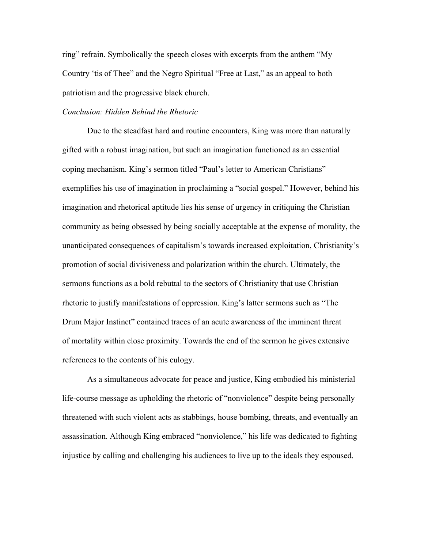ring" refrain. Symbolically the speech closes with excerpts from the anthem "My Country 'tis of Thee" and the Negro Spiritual "Free at Last," as an appeal to both patriotism and the progressive black church.

# *Conclusion: Hidden Behind the Rhetoric*

Due to the steadfast hard and routine encounters, King was more than naturally gifted with a robust imagination, but such an imagination functioned as an essential coping mechanism. King's sermon titled "Paul's letter to American Christians" exemplifies his use of imagination in proclaiming a "social gospel." However, behind his imagination and rhetorical aptitude lies his sense of urgency in critiquing the Christian community as being obsessed by being socially acceptable at the expense of morality, the unanticipated consequences of capitalism's towards increased exploitation, Christianity's promotion of social divisiveness and polarization within the church. Ultimately, the sermons functions as a bold rebuttal to the sectors of Christianity that use Christian rhetoric to justify manifestations of oppression. King's latter sermons such as "The Drum Major Instinct" contained traces of an acute awareness of the imminent threat of mortality within close proximity. Towards the end of the sermon he gives extensive references to the contents of his eulogy.

As a simultaneous advocate for peace and justice, King embodied his ministerial life-course message as upholding the rhetoric of "nonviolence" despite being personally threatened with such violent acts as stabbings, house bombing, threats, and eventually an assassination. Although King embraced "nonviolence," his life was dedicated to fighting injustice by calling and challenging his audiences to live up to the ideals they espoused.